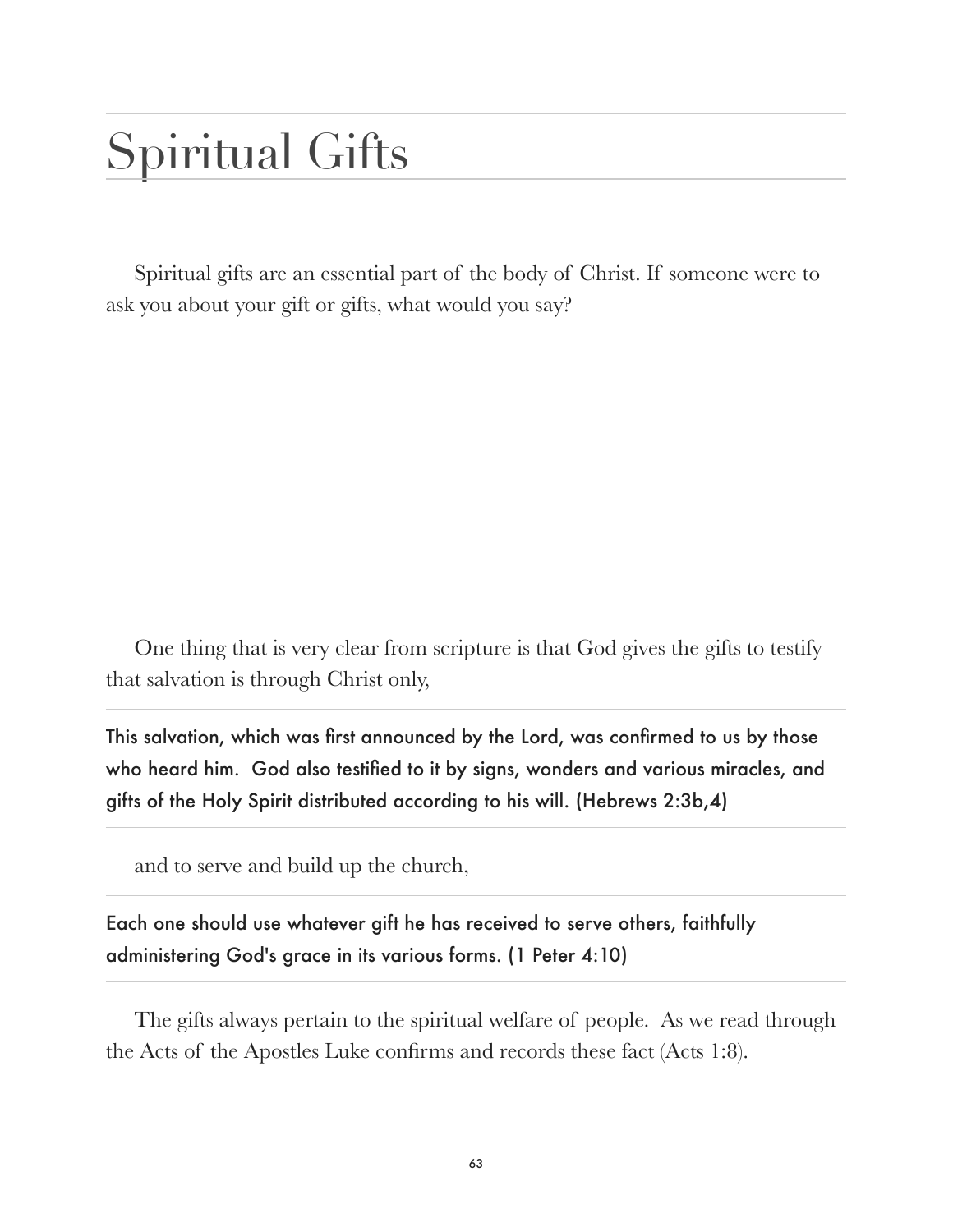# Spiritual Gifts

Spiritual gifts are an essential part of the body of Christ. If someone were to ask you about your gift or gifts, what would you say?

One thing that is very clear from scripture is that God gives the gifts to testify that salvation is through Christ only,

This salvation, which was first announced by the Lord, was confirmed to us by those who heard him. God also testified to it by signs, wonders and various miracles, and gifts of the Holy Spirit distributed according to his will. (Hebrews 2:3b,4)

and to serve and build up the church,

Each one should use whatever gift he has received to serve others, faithfully administering God's grace in its various forms. (1 Peter 4:10)

The gifts always pertain to the spiritual welfare of people. As we read through the Acts of the Apostles Luke confirms and records these fact (Acts 1:8).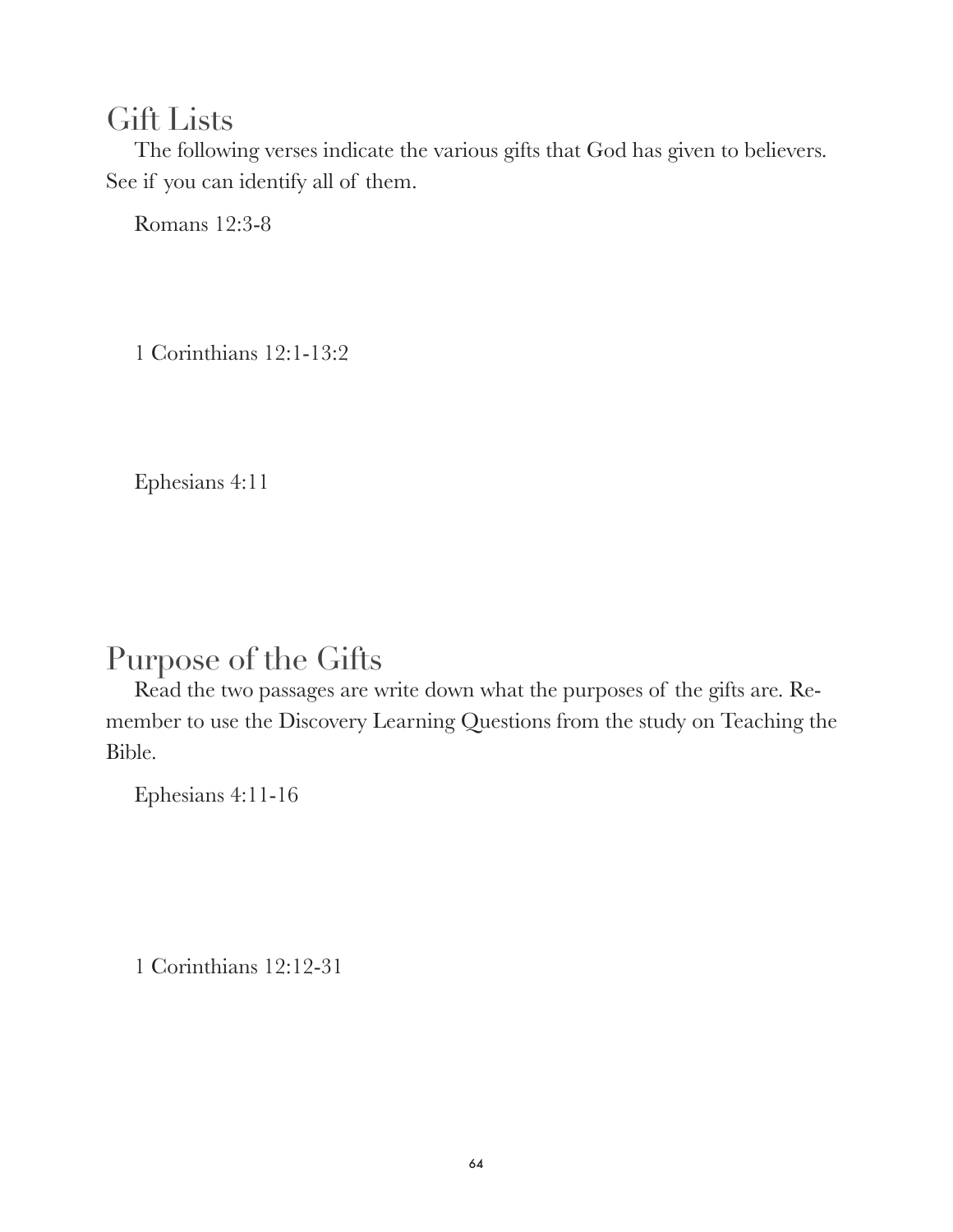#### Gift Lists

The following verses indicate the various gifts that God has given to believers. See if you can identify all of them.

Romans 12:3-8

1 Corinthians 12:1-13:2

Ephesians 4:11

# Purpose of the Gifts

Read the two passages are write down what the purposes of the gifts are. Remember to use the Discovery Learning Questions from the study on Teaching the Bible.

Ephesians 4:11-16

1 Corinthians 12:12-31